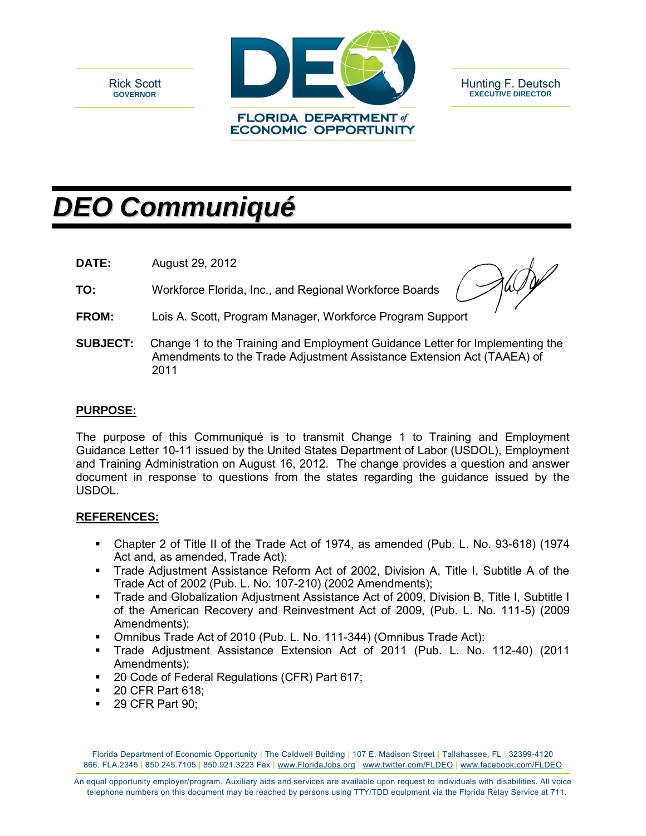



Hunting F. Deutsch **EXECUTIVE DIRECTOR**

# *DEO Communiqué*

**DATE:** August 29, 2012

**TO:** Workforce Florida, Inc., and Regional Workforce Boards

**FROM:** Lois A. Scott, Program Manager, Workforce Program Support

**SUBJECT:** Change 1 to the Training and Employment Guidance Letter for Implementing the Amendments to the Trade Adjustment Assistance Extension Act (TAAEA) of 2011

## **PURPOSE:**

The purpose of this Communiqué is to transmit Change 1 to Training and Employment Guidance Letter 10-11 issued by the United States Department of Labor (USDOL), Employment and Training Administration on August 16, 2012. The change provides a question and answer document in response to questions from the states regarding the guidance issued by the USDOL.

# **REFERENCES:**

- Chapter 2 of Title II of the Trade Act of 1974, as amended (Pub. L. No. 93-618) (1974 Act and, as amended, Trade Act);
- Trade Adjustment Assistance Reform Act of 2002, Division A, Title I, Subtitle A of the Trade Act of 2002 (Pub. L. No. 107-210) (2002 Amendments);
- Trade and Globalization Adjustment Assistance Act of 2009, Division B, Title I, Subtitle I of the American Recovery and Reinvestment Act of 2009, (Pub. L. No. 111-5) (2009 Amendments);
- Omnibus Trade Act of 2010 (Pub. L. No. 111-344) (Omnibus Trade Act):
- Trade Adjustment Assistance Extension Act of 2011 (Pub. L. No. 112-40) (2011 Amendments);
- 20 Code of Federal Regulations (CFR) Part 617;
- 20 CFR Part 618;
- **29 CFR Part 90:**

Florida Department of Economic Opportunity | The Caldwell Building | 107 E. Madison Street | Tallahassee, FL | 32399-4120 866. FLA.2345 | 850.245.7105 | 850.921.3223 Fax | www.FloridaJobs.org | www.twitter.com/FLDEO | www.facebook.com/FLDEO

An equal opportunity employer/program. Auxiliary aids and services are available upon request to individuals with disabilities. All voice telephone numbers on this document may be reached by persons using TTY/TDD equipment via the Florida Relay Service at 711.